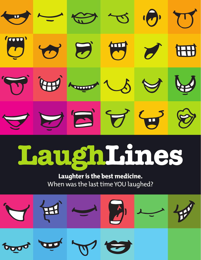

## LaughLines

## **Laughter is the best medicine.**  When was the last time YOU laughed?